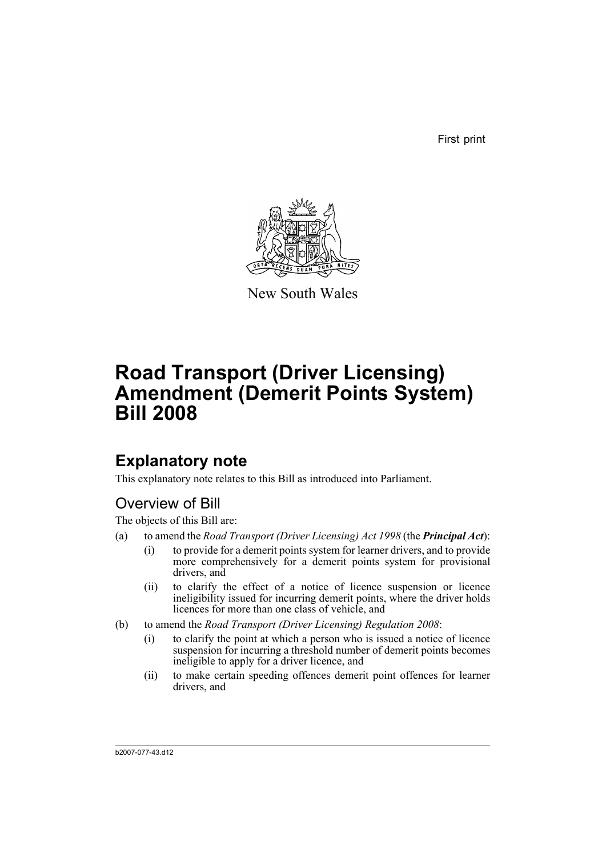First print



New South Wales

# **Road Transport (Driver Licensing) Amendment (Demerit Points System) Bill 2008**

## **Explanatory note**

This explanatory note relates to this Bill as introduced into Parliament.

## Overview of Bill

The objects of this Bill are:

- (a) to amend the *Road Transport (Driver Licensing) Act 1998* (the *Principal Act*):
	- (i) to provide for a demerit points system for learner drivers, and to provide more comprehensively for a demerit points system for provisional drivers, and
	- (ii) to clarify the effect of a notice of licence suspension or licence ineligibility issued for incurring demerit points, where the driver holds licences for more than one class of vehicle, and
- (b) to amend the *Road Transport (Driver Licensing) Regulation 2008*:
	- (i) to clarify the point at which a person who is issued a notice of licence suspension for incurring a threshold number of demerit points becomes ineligible to apply for a driver licence, and
	- (ii) to make certain speeding offences demerit point offences for learner drivers, and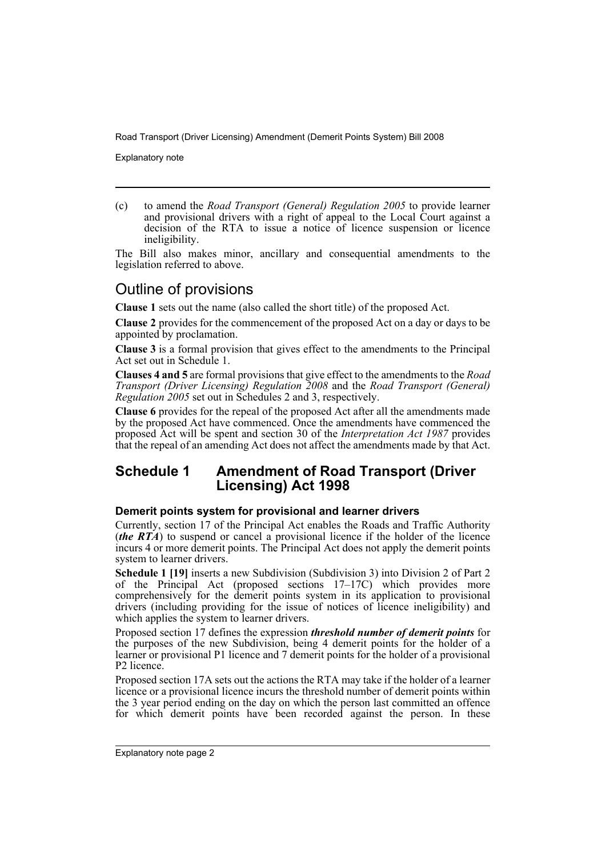Explanatory note

(c) to amend the *Road Transport (General) Regulation 2005* to provide learner and provisional drivers with a right of appeal to the Local Court against a decision of the RTA to issue a notice of licence suspension or licence ineligibility.

The Bill also makes minor, ancillary and consequential amendments to the legislation referred to above.

## Outline of provisions

**Clause 1** sets out the name (also called the short title) of the proposed Act.

**Clause 2** provides for the commencement of the proposed Act on a day or days to be appointed by proclamation.

**Clause 3** is a formal provision that gives effect to the amendments to the Principal Act set out in Schedule 1.

**Clauses 4 and 5** are formal provisions that give effect to the amendments to the *Road Transport (Driver Licensing) Regulation 2008* and the *Road Transport (General) Regulation 2005* set out in Schedules 2 and 3, respectively.

**Clause 6** provides for the repeal of the proposed Act after all the amendments made by the proposed Act have commenced. Once the amendments have commenced the proposed Act will be spent and section 30 of the *Interpretation Act 1987* provides that the repeal of an amending Act does not affect the amendments made by that Act.

## **Schedule 1 Amendment of Road Transport (Driver Licensing) Act 1998**

#### **Demerit points system for provisional and learner drivers**

Currently, section 17 of the Principal Act enables the Roads and Traffic Authority (*the RTA*) to suspend or cancel a provisional licence if the holder of the licence incurs 4 or more demerit points. The Principal Act does not apply the demerit points system to learner drivers.

**Schedule 1 [19]** inserts a new Subdivision (Subdivision 3) into Division 2 of Part 2 of the Principal Act (proposed sections 17–17C) which provides more comprehensively for the demerit points system in its application to provisional drivers (including providing for the issue of notices of licence ineligibility) and which applies the system to learner drivers.

Proposed section 17 defines the expression *threshold number of demerit points* for the purposes of the new Subdivision, being 4 demerit points for the holder of a learner or provisional P1 licence and 7 demerit points for the holder of a provisional P<sub>2</sub> licence

Proposed section 17A sets out the actions the RTA may take if the holder of a learner licence or a provisional licence incurs the threshold number of demerit points within the 3 year period ending on the day on which the person last committed an offence for which demerit points have been recorded against the person. In these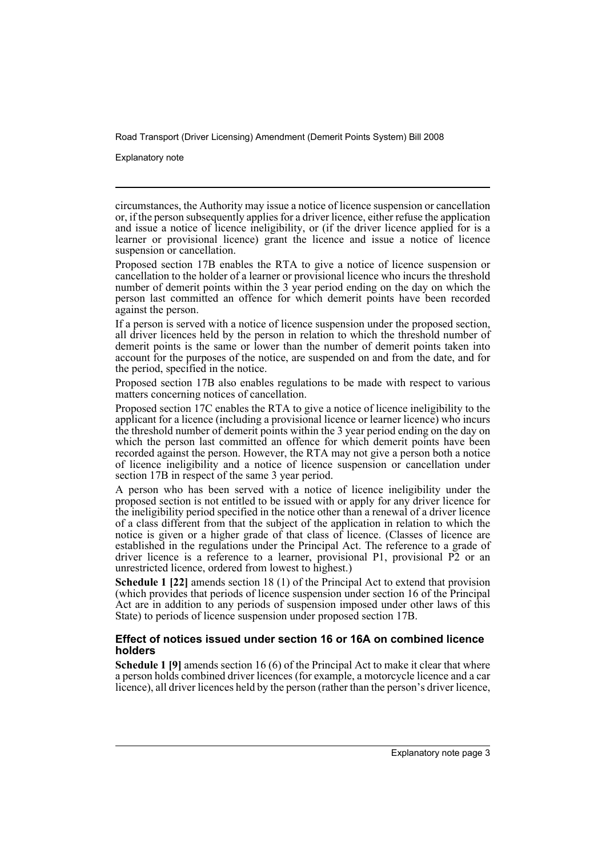Explanatory note

circumstances, the Authority may issue a notice of licence suspension or cancellation or, if the person subsequently applies for a driver licence, either refuse the application and issue a notice of licence ineligibility, or (if the driver licence applied for is a learner or provisional licence) grant the licence and issue a notice of licence suspension or cancellation.

Proposed section 17B enables the RTA to give a notice of licence suspension or cancellation to the holder of a learner or provisional licence who incurs the threshold number of demerit points within the 3 year period ending on the day on which the person last committed an offence for which demerit points have been recorded against the person.

If a person is served with a notice of licence suspension under the proposed section, all driver licences held by the person in relation to which the threshold number of demerit points is the same or lower than the number of demerit points taken into account for the purposes of the notice, are suspended on and from the date, and for the period, specified in the notice.

Proposed section 17B also enables regulations to be made with respect to various matters concerning notices of cancellation.

Proposed section 17C enables the RTA to give a notice of licence ineligibility to the applicant for a licence (including a provisional licence or learner licence) who incurs the threshold number of demerit points within the 3 year period ending on the day on which the person last committed an offence for which demerit points have been recorded against the person. However, the RTA may not give a person both a notice of licence ineligibility and a notice of licence suspension or cancellation under section 17B in respect of the same 3 year period.

A person who has been served with a notice of licence ineligibility under the proposed section is not entitled to be issued with or apply for any driver licence for the ineligibility period specified in the notice other than a renewal of a driver licence of a class different from that the subject of the application in relation to which the notice is given or a higher grade of that class of licence. (Classes of licence are established in the regulations under the Principal Act. The reference to a grade of driver licence is a reference to a learner, provisional P1, provisional P2 or an unrestricted licence, ordered from lowest to highest.)

**Schedule 1 [22]** amends section 18 (1) of the Principal Act to extend that provision (which provides that periods of licence suspension under section 16 of the Principal Act are in addition to any periods of suspension imposed under other laws of this State) to periods of licence suspension under proposed section 17B.

#### **Effect of notices issued under section 16 or 16A on combined licence holders**

**Schedule 1 [9]** amends section 16 (6) of the Principal Act to make it clear that where a person holds combined driver licences (for example, a motorcycle licence and a car licence), all driver licences held by the person (rather than the person's driver licence,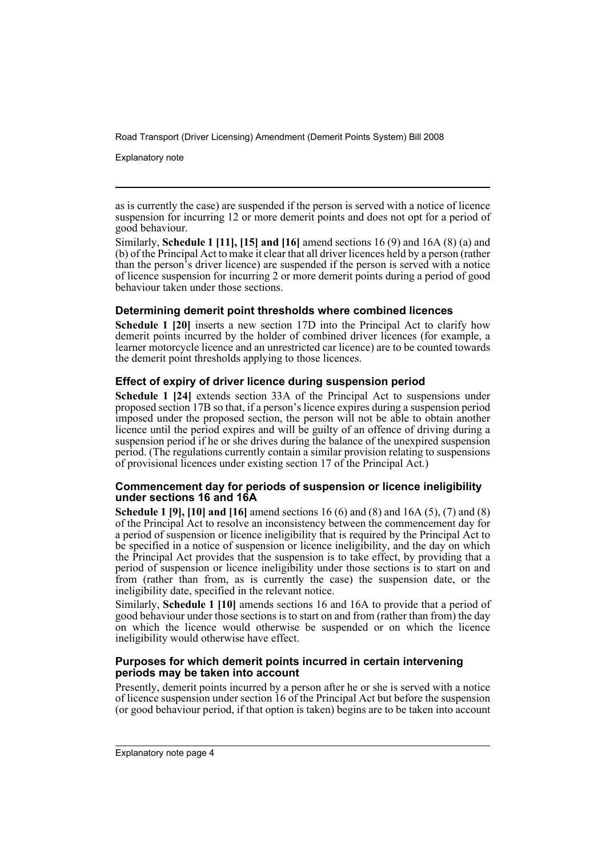Explanatory note

as is currently the case) are suspended if the person is served with a notice of licence suspension for incurring 12 or more demerit points and does not opt for a period of good behaviour.

Similarly, **Schedule 1 [11], [15] and [16]** amend sections 16 (9) and 16A (8) (a) and (b) of the Principal Act to make it clear that all driver licences held by a person (rather than the person's driver licence) are suspended if the person is served with a notice of licence suspension for incurring 2 or more demerit points during a period of good behaviour taken under those sections.

#### **Determining demerit point thresholds where combined licences**

**Schedule 1 [20]** inserts a new section 17D into the Principal Act to clarify how demerit points incurred by the holder of combined driver licences (for example, a learner motorcycle licence and an unrestricted car licence) are to be counted towards the demerit point thresholds applying to those licences.

#### **Effect of expiry of driver licence during suspension period**

**Schedule 1 [24]** extends section 33A of the Principal Act to suspensions under proposed section 17B so that, if a person's licence expires during a suspension period imposed under the proposed section, the person will not be able to obtain another licence until the period expires and will be guilty of an offence of driving during a suspension period if he or she drives during the balance of the unexpired suspension period. (The regulations currently contain a similar provision relating to suspensions of provisional licences under existing section 17 of the Principal Act.)

#### **Commencement day for periods of suspension or licence ineligibility under sections 16 and 16A**

**Schedule 1 [9], [10] and [16]** amend sections 16 (6) and (8) and 16A (5), (7) and (8) of the Principal Act to resolve an inconsistency between the commencement day for a period of suspension or licence ineligibility that is required by the Principal Act to be specified in a notice of suspension or licence ineligibility, and the day on which the Principal Act provides that the suspension is to take effect, by providing that a period of suspension or licence ineligibility under those sections is to start on and from (rather than from, as is currently the case) the suspension date, or the ineligibility date, specified in the relevant notice.

Similarly, **Schedule 1 [10]** amends sections 16 and 16A to provide that a period of good behaviour under those sections is to start on and from (rather than from) the day on which the licence would otherwise be suspended or on which the licence ineligibility would otherwise have effect.

#### **Purposes for which demerit points incurred in certain intervening periods may be taken into account**

Presently, demerit points incurred by a person after he or she is served with a notice of licence suspension under section 16 of the Principal Act but before the suspension (or good behaviour period, if that option is taken) begins are to be taken into account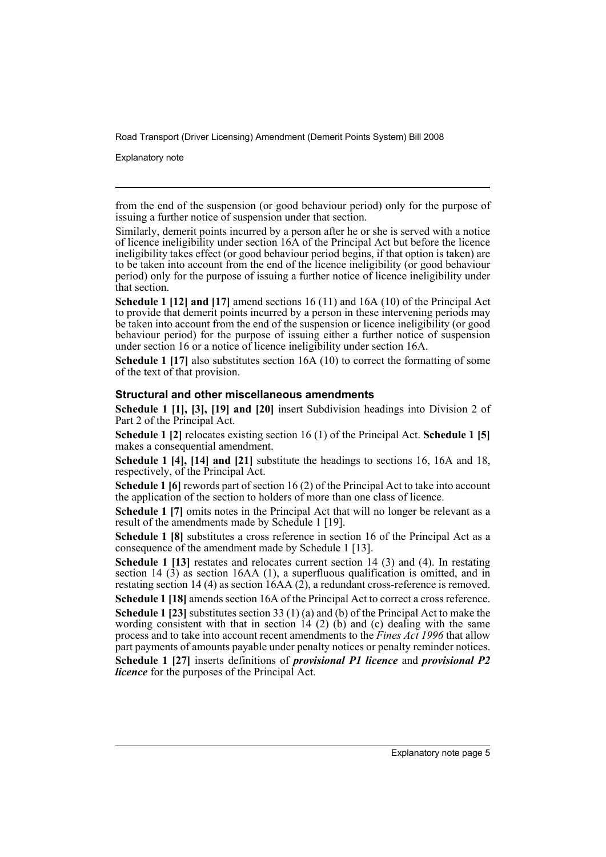Explanatory note

from the end of the suspension (or good behaviour period) only for the purpose of issuing a further notice of suspension under that section.

Similarly, demerit points incurred by a person after he or she is served with a notice of licence ineligibility under section 16A of the Principal Act but before the licence ineligibility takes effect (or good behaviour period begins, if that option is taken) are to be taken into account from the end of the licence ineligibility (or good behaviour period) only for the purpose of issuing a further notice of licence ineligibility under that section.

**Schedule 1 [12] and [17]** amend sections 16 (11) and 16A (10) of the Principal Act to provide that demerit points incurred by a person in these intervening periods may be taken into account from the end of the suspension or licence ineligibility (or good behaviour period) for the purpose of issuing either a further notice of suspension under section 16 or a notice of licence ineligibility under section 16A.

**Schedule 1 [17]** also substitutes section 16A (10) to correct the formatting of some of the text of that provision.

#### **Structural and other miscellaneous amendments**

**Schedule 1 [1], [3], [19] and [20]** insert Subdivision headings into Division 2 of Part 2 of the Principal Act.

**Schedule 1 [2]** relocates existing section 16 (1) of the Principal Act. **Schedule 1 [5]** makes a consequential amendment.

**Schedule 1 [4], [14] and [21]** substitute the headings to sections 16, 16A and 18, respectively, of the Principal Act.

**Schedule 1 [6]** rewords part of section 16 (2) of the Principal Act to take into account the application of the section to holders of more than one class of licence.

**Schedule 1 [7]** omits notes in the Principal Act that will no longer be relevant as a result of the amendments made by Schedule 1 [19].

**Schedule 1 [8]** substitutes a cross reference in section 16 of the Principal Act as a consequence of the amendment made by Schedule 1 [13].

**Schedule 1 [13]** restates and relocates current section 14 (3) and (4). In restating section 14  $(3)$  as section 16AA  $(1)$ , a superfluous qualification is omitted, and in restating section 14 (4) as section 16AA (2), a redundant cross-reference is removed.

**Schedule 1 [18]** amends section 16A of the Principal Act to correct a cross reference.

**Schedule 1 [23]** substitutes section 33 (1) (a) and (b) of the Principal Act to make the wording consistent with that in section  $14$  (2) (b) and (c) dealing with the same process and to take into account recent amendments to the *Fines Act 1996* that allow part payments of amounts payable under penalty notices or penalty reminder notices.

**Schedule 1 [27]** inserts definitions of *provisional P1 licence* and *provisional P2 licence* for the purposes of the Principal Act.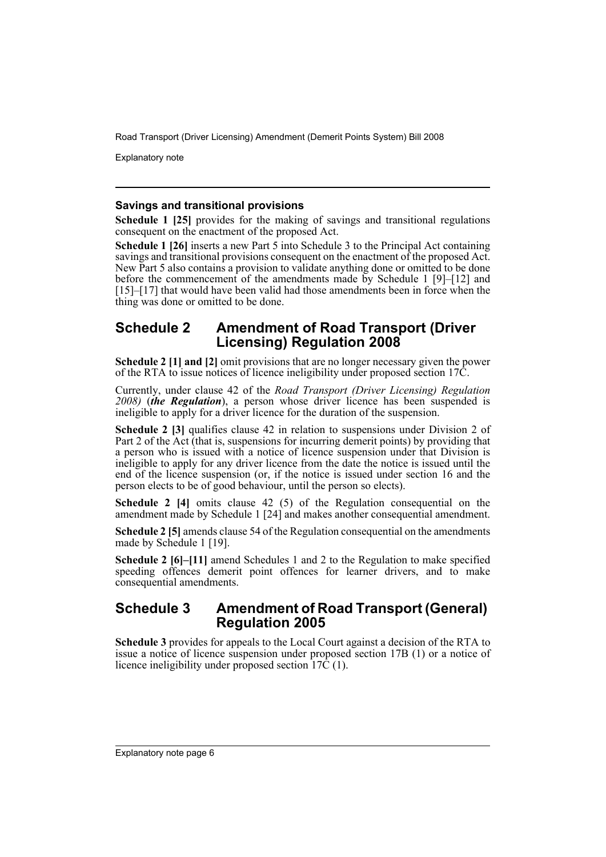Explanatory note

#### **Savings and transitional provisions**

**Schedule 1 [25]** provides for the making of savings and transitional regulations consequent on the enactment of the proposed Act.

**Schedule 1 [26]** inserts a new Part 5 into Schedule 3 to the Principal Act containing savings and transitional provisions consequent on the enactment of the proposed Act. New Part 5 also contains a provision to validate anything done or omitted to be done before the commencement of the amendments made by Schedule 1 [9]–[12] and [15]–[17] that would have been valid had those amendments been in force when the thing was done or omitted to be done.

### **Schedule 2 Amendment of Road Transport (Driver Licensing) Regulation 2008**

**Schedule 2 [1] and [2]** omit provisions that are no longer necessary given the power of the RTA to issue notices of licence ineligibility under proposed section 17C.

Currently, under clause 42 of the *Road Transport (Driver Licensing) Regulation 2008)* (*the Regulation*), a person whose driver licence has been suspended is ineligible to apply for a driver licence for the duration of the suspension.

**Schedule 2 [3]** qualifies clause 42 in relation to suspensions under Division 2 of Part 2 of the Act (that is, suspensions for incurring demerit points) by providing that a person who is issued with a notice of licence suspension under that Division is ineligible to apply for any driver licence from the date the notice is issued until the end of the licence suspension (or, if the notice is issued under section 16 and the person elects to be of good behaviour, until the person so elects).

**Schedule 2 [4]** omits clause 42 (5) of the Regulation consequential on the amendment made by Schedule 1 [24] and makes another consequential amendment.

**Schedule 2 [5]** amends clause 54 of the Regulation consequential on the amendments made by Schedule 1 [19].

**Schedule 2 [6]–[11]** amend Schedules 1 and 2 to the Regulation to make specified speeding offences demerit point offences for learner drivers, and to make consequential amendments.

### **Schedule 3 Amendment of Road Transport (General) Regulation 2005**

**Schedule 3** provides for appeals to the Local Court against a decision of the RTA to issue a notice of licence suspension under proposed section 17B (1) or a notice of licence ineligibility under proposed section  $17\hat{C}(1)$ .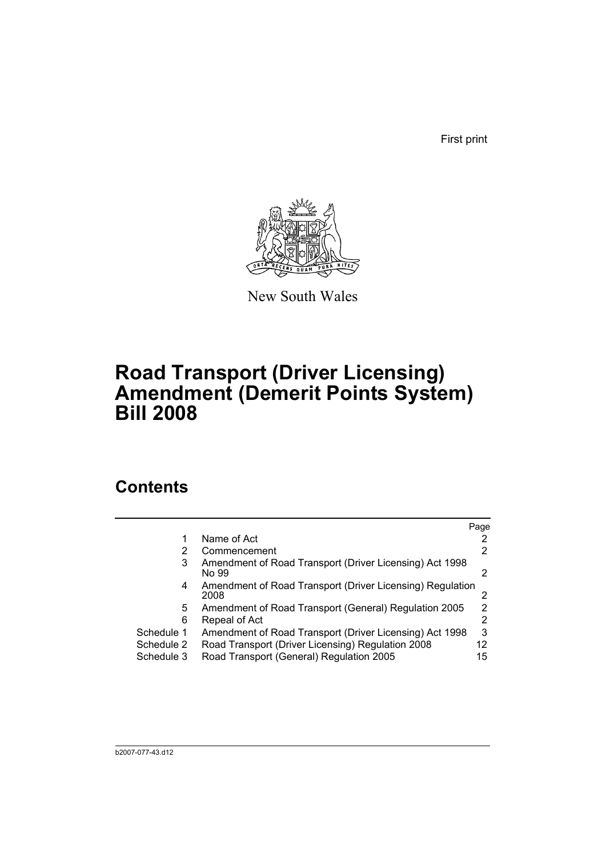First print



New South Wales

# **Road Transport (Driver Licensing) Amendment (Demerit Points System) Bill 2008**

## **Contents**

|            |                                                                   | Page |
|------------|-------------------------------------------------------------------|------|
|            | Name of Act                                                       |      |
| 2          | Commencement                                                      |      |
| 3          | Amendment of Road Transport (Driver Licensing) Act 1998<br>No 99  | 2    |
| 4          | Amendment of Road Transport (Driver Licensing) Regulation<br>2008 |      |
| 5.         | Amendment of Road Transport (General) Regulation 2005             | 2    |
| 6          | Repeal of Act                                                     | 2    |
| Schedule 1 | Amendment of Road Transport (Driver Licensing) Act 1998           | 3    |
| Schedule 2 | Road Transport (Driver Licensing) Regulation 2008                 | 12   |
| Schedule 3 | Road Transport (General) Regulation 2005                          | 15   |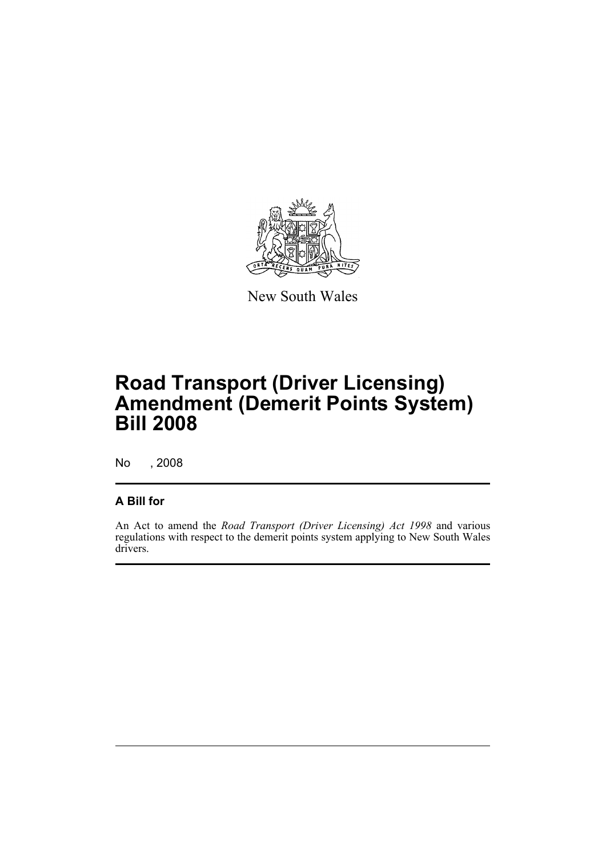

New South Wales

# **Road Transport (Driver Licensing) Amendment (Demerit Points System) Bill 2008**

No , 2008

### **A Bill for**

An Act to amend the *Road Transport (Driver Licensing) Act 1998* and various regulations with respect to the demerit points system applying to New South Wales drivers.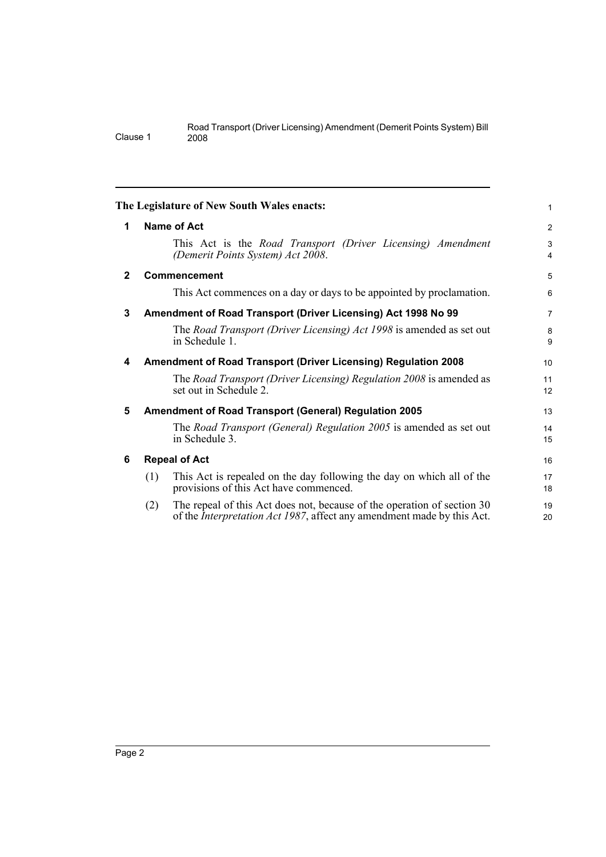<span id="page-9-5"></span><span id="page-9-4"></span><span id="page-9-3"></span><span id="page-9-2"></span><span id="page-9-1"></span><span id="page-9-0"></span>

|              |     | The Legislature of New South Wales enacts:                                                                                                                | 1              |
|--------------|-----|-----------------------------------------------------------------------------------------------------------------------------------------------------------|----------------|
| 1            |     | <b>Name of Act</b>                                                                                                                                        | 2              |
|              |     | This Act is the Road Transport (Driver Licensing) Amendment<br>(Demerit Points System) Act 2008.                                                          | 3<br>4         |
| $\mathbf{2}$ |     | Commencement                                                                                                                                              | 5              |
|              |     | This Act commences on a day or days to be appointed by proclamation.                                                                                      | 6              |
| 3            |     | Amendment of Road Transport (Driver Licensing) Act 1998 No 99                                                                                             | $\overline{7}$ |
|              |     | The Road Transport (Driver Licensing) Act 1998 is amended as set out<br>in Schedule 1.                                                                    | 8<br>9         |
| 4            |     | Amendment of Road Transport (Driver Licensing) Regulation 2008                                                                                            | 10             |
|              |     | The Road Transport (Driver Licensing) Regulation 2008 is amended as<br>set out in Schedule 2.                                                             | 11<br>12       |
| 5            |     | <b>Amendment of Road Transport (General) Regulation 2005</b>                                                                                              | 13             |
|              |     | The Road Transport (General) Regulation 2005 is amended as set out<br>in Schedule 3.                                                                      | 14<br>15       |
| 6            |     | <b>Repeal of Act</b>                                                                                                                                      | 16             |
|              | (1) | This Act is repealed on the day following the day on which all of the<br>provisions of this Act have commenced.                                           | 17<br>18       |
|              | (2) | The repeal of this Act does not, because of the operation of section 30<br>of the <i>Interpretation Act 1987</i> , affect any amendment made by this Act. | 19<br>20       |
|              |     |                                                                                                                                                           |                |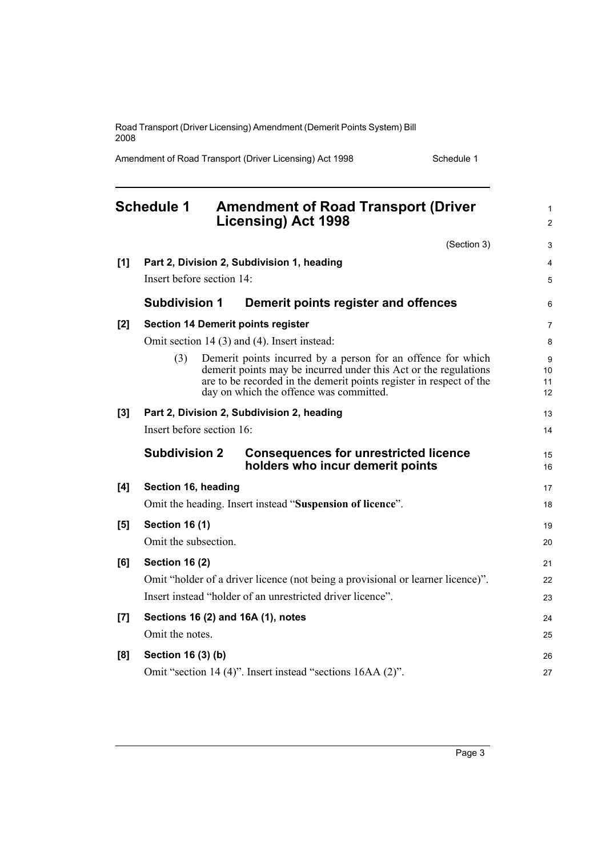Amendment of Road Transport (Driver Licensing) Act 1998 Schedule 1

<span id="page-10-0"></span>

|     | <b>Schedule 1</b>         | <b>Amendment of Road Transport (Driver</b><br><b>Licensing) Act 1998</b>                                                                                                                                                                           | 1<br>$\overline{c}$ |
|-----|---------------------------|----------------------------------------------------------------------------------------------------------------------------------------------------------------------------------------------------------------------------------------------------|---------------------|
|     |                           | (Section 3)                                                                                                                                                                                                                                        | 3                   |
| [1] |                           | Part 2, Division 2, Subdivision 1, heading                                                                                                                                                                                                         | 4                   |
|     | Insert before section 14: |                                                                                                                                                                                                                                                    | 5                   |
|     | <b>Subdivision 1</b>      | Demerit points register and offences                                                                                                                                                                                                               | 6                   |
| [2] |                           | <b>Section 14 Demerit points register</b>                                                                                                                                                                                                          | 7                   |
|     |                           | Omit section 14 (3) and (4). Insert instead:                                                                                                                                                                                                       | 8                   |
|     | (3)                       | Demerit points incurred by a person for an offence for which<br>demerit points may be incurred under this Act or the regulations<br>are to be recorded in the demerit points register in respect of the<br>day on which the offence was committed. | 9<br>10<br>11<br>12 |
| [3] |                           | Part 2, Division 2, Subdivision 2, heading                                                                                                                                                                                                         | 13                  |
|     | Insert before section 16: |                                                                                                                                                                                                                                                    | 14                  |
|     | <b>Subdivision 2</b>      | <b>Consequences for unrestricted licence</b><br>holders who incur demerit points                                                                                                                                                                   | 15<br>16            |
| [4] | Section 16, heading       |                                                                                                                                                                                                                                                    | 17                  |
|     |                           | Omit the heading. Insert instead "Suspension of licence".                                                                                                                                                                                          | 18                  |
| [5] | <b>Section 16 (1)</b>     |                                                                                                                                                                                                                                                    | 19                  |
|     | Omit the subsection.      |                                                                                                                                                                                                                                                    | 20                  |
| [6] | <b>Section 16 (2)</b>     |                                                                                                                                                                                                                                                    | 21                  |
|     |                           | Omit "holder of a driver licence (not being a provisional or learner licence)".                                                                                                                                                                    | 22                  |
|     |                           | Insert instead "holder of an unrestricted driver licence".                                                                                                                                                                                         | 23                  |
| [7] |                           | Sections 16 (2) and 16A (1), notes                                                                                                                                                                                                                 | 24                  |
|     | Omit the notes.           |                                                                                                                                                                                                                                                    | 25                  |
| [8] | Section 16 (3) (b)        |                                                                                                                                                                                                                                                    | 26                  |
|     |                           | Omit "section 14 (4)". Insert instead "sections 16AA (2)".                                                                                                                                                                                         | 27                  |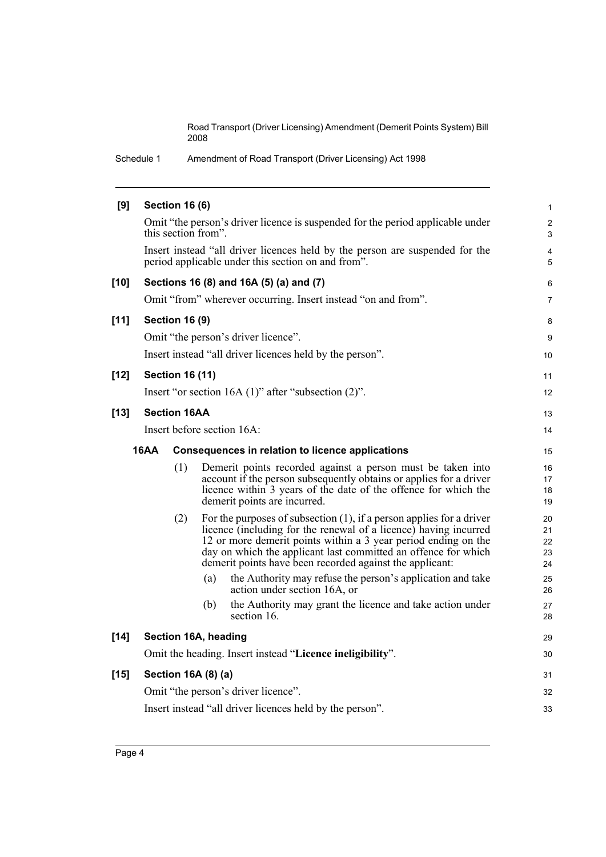Schedule 1 Amendment of Road Transport (Driver Licensing) Act 1998

| [9]    |      | <b>Section 16 (6)</b>  |                                                                                                                                                                                                                                                                                                                                                                                                                                                  | $\mathbf{1}$                           |  |  |
|--------|------|------------------------|--------------------------------------------------------------------------------------------------------------------------------------------------------------------------------------------------------------------------------------------------------------------------------------------------------------------------------------------------------------------------------------------------------------------------------------------------|----------------------------------------|--|--|
|        |      |                        | Omit "the person's driver licence is suspended for the period applicable under<br>this section from".                                                                                                                                                                                                                                                                                                                                            | $\overline{\mathbf{c}}$<br>3           |  |  |
|        |      |                        | Insert instead "all driver licences held by the person are suspended for the<br>period applicable under this section on and from".                                                                                                                                                                                                                                                                                                               | 4<br>5                                 |  |  |
| $[10]$ |      |                        | Sections 16 (8) and 16A (5) (a) and (7)                                                                                                                                                                                                                                                                                                                                                                                                          | 6                                      |  |  |
|        |      |                        | Omit "from" wherever occurring. Insert instead "on and from".                                                                                                                                                                                                                                                                                                                                                                                    | $\overline{7}$                         |  |  |
| $[11]$ |      | <b>Section 16 (9)</b>  |                                                                                                                                                                                                                                                                                                                                                                                                                                                  | 8                                      |  |  |
|        |      |                        | Omit "the person's driver licence".                                                                                                                                                                                                                                                                                                                                                                                                              | 9                                      |  |  |
|        |      |                        | Insert instead "all driver licences held by the person".                                                                                                                                                                                                                                                                                                                                                                                         | 10                                     |  |  |
| $[12]$ |      | <b>Section 16 (11)</b> |                                                                                                                                                                                                                                                                                                                                                                                                                                                  | 11                                     |  |  |
|        |      |                        | Insert "or section $16A(1)$ " after "subsection $(2)$ ".                                                                                                                                                                                                                                                                                                                                                                                         | 12                                     |  |  |
| $[13]$ |      | <b>Section 16AA</b>    |                                                                                                                                                                                                                                                                                                                                                                                                                                                  | 13                                     |  |  |
|        |      |                        | Insert before section 16A:                                                                                                                                                                                                                                                                                                                                                                                                                       | 14                                     |  |  |
|        | 16AA |                        | Consequences in relation to licence applications                                                                                                                                                                                                                                                                                                                                                                                                 | 15                                     |  |  |
|        |      | (1)                    | Demerit points recorded against a person must be taken into<br>account if the person subsequently obtains or applies for a driver<br>licence within 3 years of the date of the offence for which the<br>demerit points are incurred.                                                                                                                                                                                                             | 16<br>17<br>18<br>19                   |  |  |
|        |      | (2)                    | For the purposes of subsection $(1)$ , if a person applies for a driver<br>licence (including for the renewal of a licence) having incurred<br>12 or more demerit points within a 3 year period ending on the<br>day on which the applicant last committed an offence for which<br>demerit points have been recorded against the applicant:<br>the Authority may refuse the person's application and take<br>(a)<br>action under section 16A, or | 20<br>21<br>22<br>23<br>24<br>25<br>26 |  |  |
|        |      |                        | (b)<br>the Authority may grant the licence and take action under                                                                                                                                                                                                                                                                                                                                                                                 | 27                                     |  |  |
|        |      |                        | section 16.                                                                                                                                                                                                                                                                                                                                                                                                                                      | 28                                     |  |  |
| $[14]$ |      |                        | Section 16A, heading                                                                                                                                                                                                                                                                                                                                                                                                                             | 29                                     |  |  |
|        |      |                        | Omit the heading. Insert instead "Licence ineligibility".                                                                                                                                                                                                                                                                                                                                                                                        | 30                                     |  |  |
| $[15]$ |      |                        | Section 16A (8) (a)                                                                                                                                                                                                                                                                                                                                                                                                                              | 31                                     |  |  |
|        |      |                        | Omit "the person's driver licence".                                                                                                                                                                                                                                                                                                                                                                                                              | 32                                     |  |  |
|        |      |                        | Insert instead "all driver licences held by the person".                                                                                                                                                                                                                                                                                                                                                                                         | 33                                     |  |  |
|        |      |                        |                                                                                                                                                                                                                                                                                                                                                                                                                                                  |                                        |  |  |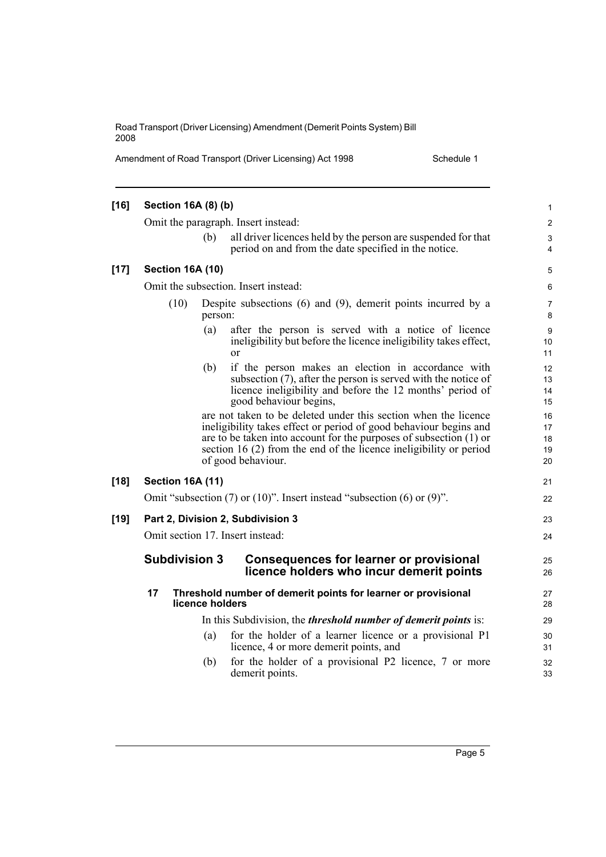Amendment of Road Transport (Driver Licensing) Act 1998 Schedule 1

| $[16]$<br>Section 16A (8) (b)                                                                                                                                    |     |                                                                                                                                                                                                            |                                                                                                                                                                                                                                                                                                                                                                                                                                                                                                                                                   |  |
|------------------------------------------------------------------------------------------------------------------------------------------------------------------|-----|------------------------------------------------------------------------------------------------------------------------------------------------------------------------------------------------------------|---------------------------------------------------------------------------------------------------------------------------------------------------------------------------------------------------------------------------------------------------------------------------------------------------------------------------------------------------------------------------------------------------------------------------------------------------------------------------------------------------------------------------------------------------|--|
| Omit the paragraph. Insert instead:                                                                                                                              |     |                                                                                                                                                                                                            |                                                                                                                                                                                                                                                                                                                                                                                                                                                                                                                                                   |  |
|                                                                                                                                                                  | (b) | all driver licences held by the person are suspended for that<br>period on and from the date specified in the notice.                                                                                      | 3<br>4                                                                                                                                                                                                                                                                                                                                                                                                                                                                                                                                            |  |
|                                                                                                                                                                  |     |                                                                                                                                                                                                            | 5                                                                                                                                                                                                                                                                                                                                                                                                                                                                                                                                                 |  |
| Omit the subsection. Insert instead:                                                                                                                             |     |                                                                                                                                                                                                            |                                                                                                                                                                                                                                                                                                                                                                                                                                                                                                                                                   |  |
| (10)<br>Despite subsections $(6)$ and $(9)$ , demerit points incurred by a<br>person:                                                                            |     |                                                                                                                                                                                                            | 7<br>8                                                                                                                                                                                                                                                                                                                                                                                                                                                                                                                                            |  |
|                                                                                                                                                                  | (a) | after the person is served with a notice of licence<br>ineligibility but before the licence ineligibility takes effect,<br><sub>or</sub>                                                                   | 9<br>10<br>11                                                                                                                                                                                                                                                                                                                                                                                                                                                                                                                                     |  |
|                                                                                                                                                                  | (b) | if the person makes an election in accordance with<br>subsection (7), after the person is served with the notice of<br>licence ineligibility and before the 12 months' period of<br>good behaviour begins, | 12<br>13<br>14<br>15                                                                                                                                                                                                                                                                                                                                                                                                                                                                                                                              |  |
|                                                                                                                                                                  |     |                                                                                                                                                                                                            | 16<br>17<br>18<br>19<br>20                                                                                                                                                                                                                                                                                                                                                                                                                                                                                                                        |  |
|                                                                                                                                                                  |     |                                                                                                                                                                                                            | 21                                                                                                                                                                                                                                                                                                                                                                                                                                                                                                                                                |  |
|                                                                                                                                                                  |     |                                                                                                                                                                                                            | 22                                                                                                                                                                                                                                                                                                                                                                                                                                                                                                                                                |  |
|                                                                                                                                                                  |     |                                                                                                                                                                                                            | 23                                                                                                                                                                                                                                                                                                                                                                                                                                                                                                                                                |  |
|                                                                                                                                                                  |     |                                                                                                                                                                                                            | 24                                                                                                                                                                                                                                                                                                                                                                                                                                                                                                                                                |  |
|                                                                                                                                                                  |     | <b>Consequences for learner or provisional</b><br>licence holders who incur demerit points                                                                                                                 | 25<br>26                                                                                                                                                                                                                                                                                                                                                                                                                                                                                                                                          |  |
| 17<br>Threshold number of demerit points for learner or provisional<br>licence holders<br>In this Subdivision, the <i>threshold number of demerit points</i> is: |     |                                                                                                                                                                                                            |                                                                                                                                                                                                                                                                                                                                                                                                                                                                                                                                                   |  |
|                                                                                                                                                                  |     |                                                                                                                                                                                                            |                                                                                                                                                                                                                                                                                                                                                                                                                                                                                                                                                   |  |
|                                                                                                                                                                  | (b) | for the holder of a provisional P2 licence, 7 or more<br>demerit points.                                                                                                                                   | 32<br>33                                                                                                                                                                                                                                                                                                                                                                                                                                                                                                                                          |  |
|                                                                                                                                                                  |     |                                                                                                                                                                                                            | <b>Section 16A (10)</b><br>are not taken to be deleted under this section when the licence<br>ineligibility takes effect or period of good behaviour begins and<br>are to be taken into account for the purposes of subsection (1) or<br>section 16 (2) from the end of the licence ineligibility or period<br>of good behaviour.<br><b>Section 16A (11)</b><br>Omit "subsection $(7)$ or $(10)$ ". Insert instead "subsection $(6)$ or $(9)$ ".<br>Part 2, Division 2, Subdivision 3<br>Omit section 17. Insert instead:<br><b>Subdivision 3</b> |  |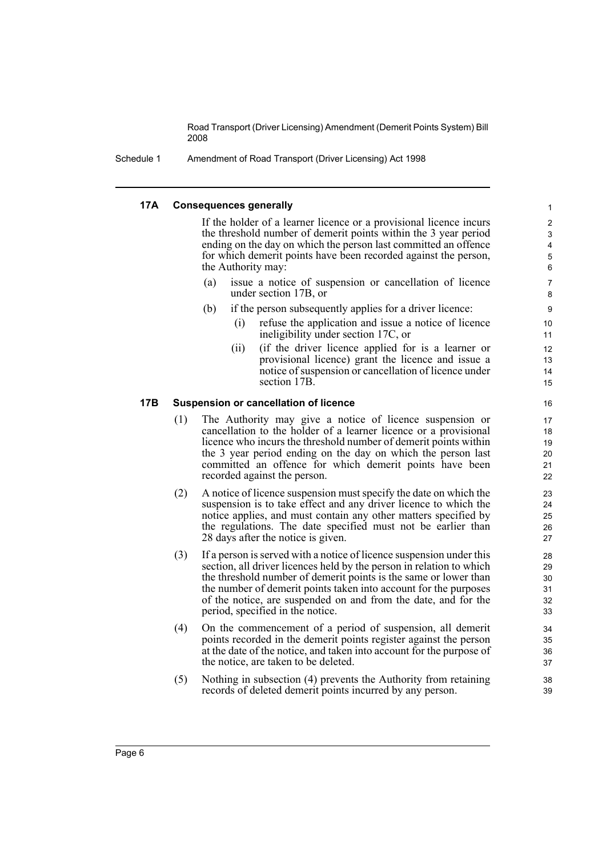Schedule 1 Amendment of Road Transport (Driver Licensing) Act 1998

#### **17A Consequences generally**

If the holder of a learner licence or a provisional licence incurs the threshold number of demerit points within the 3 year period ending on the day on which the person last committed an offence for which demerit points have been recorded against the person, the Authority may:

- (a) issue a notice of suspension or cancellation of licence under section 17B, or
- (b) if the person subsequently applies for a driver licence:
	- (i) refuse the application and issue a notice of licence ineligibility under section 17C, or

(ii) (if the driver licence applied for is a learner or provisional licence) grant the licence and issue a notice of suspension or cancellation of licence under section 17B.

#### **17B Suspension or cancellation of licence**

- (1) The Authority may give a notice of licence suspension or cancellation to the holder of a learner licence or a provisional licence who incurs the threshold number of demerit points within the 3 year period ending on the day on which the person last committed an offence for which demerit points have been recorded against the person.
- (2) A notice of licence suspension must specify the date on which the suspension is to take effect and any driver licence to which the notice applies, and must contain any other matters specified by the regulations. The date specified must not be earlier than 28 days after the notice is given.
- (3) If a person is served with a notice of licence suspension under this section, all driver licences held by the person in relation to which the threshold number of demerit points is the same or lower than the number of demerit points taken into account for the purposes of the notice, are suspended on and from the date, and for the period, specified in the notice.
- (4) On the commencement of a period of suspension, all demerit points recorded in the demerit points register against the person at the date of the notice, and taken into account for the purpose of the notice, are taken to be deleted.
- (5) Nothing in subsection (4) prevents the Authority from retaining records of deleted demerit points incurred by any person.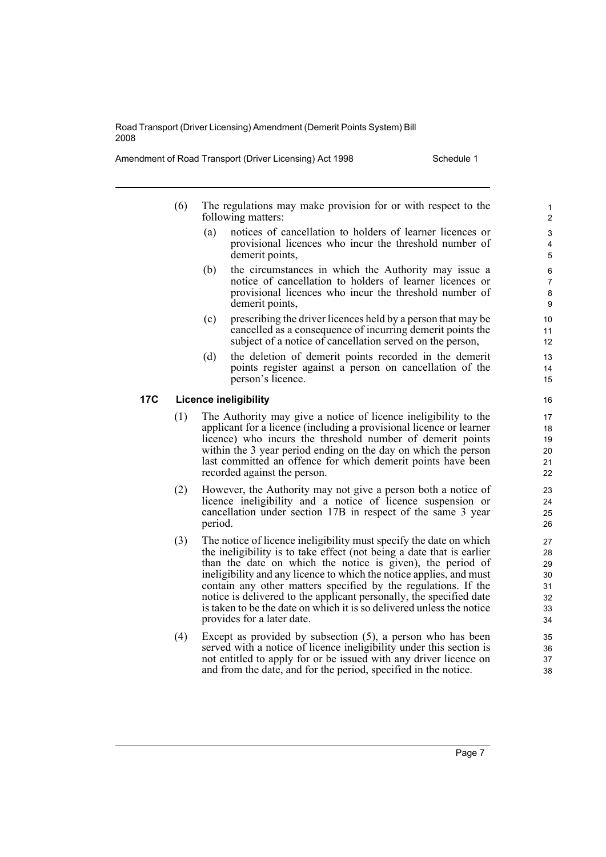Amendment of Road Transport (Driver Licensing) Act 1998 Schedule 1

- (6) The regulations may make provision for or with respect to the following matters:
	- (a) notices of cancellation to holders of learner licences or provisional licences who incur the threshold number of demerit points,
	- (b) the circumstances in which the Authority may issue a notice of cancellation to holders of learner licences or provisional licences who incur the threshold number of demerit points,
	- (c) prescribing the driver licences held by a person that may be cancelled as a consequence of incurring demerit points the subject of a notice of cancellation served on the person,
	- (d) the deletion of demerit points recorded in the demerit points register against a person on cancellation of the person's licence.

#### **17C Licence ineligibility**

- (1) The Authority may give a notice of licence ineligibility to the applicant for a licence (including a provisional licence or learner licence) who incurs the threshold number of demerit points within the 3 year period ending on the day on which the person last committed an offence for which demerit points have been recorded against the person.
- (2) However, the Authority may not give a person both a notice of licence ineligibility and a notice of licence suspension or cancellation under section 17B in respect of the same 3 year period.
- (3) The notice of licence ineligibility must specify the date on which the ineligibility is to take effect (not being a date that is earlier than the date on which the notice is given), the period of ineligibility and any licence to which the notice applies, and must contain any other matters specified by the regulations. If the notice is delivered to the applicant personally, the specified date is taken to be the date on which it is so delivered unless the notice provides for a later date.
- (4) Except as provided by subsection (5), a person who has been served with a notice of licence ineligibility under this section is not entitled to apply for or be issued with any driver licence on and from the date, and for the period, specified in the notice.

Page 7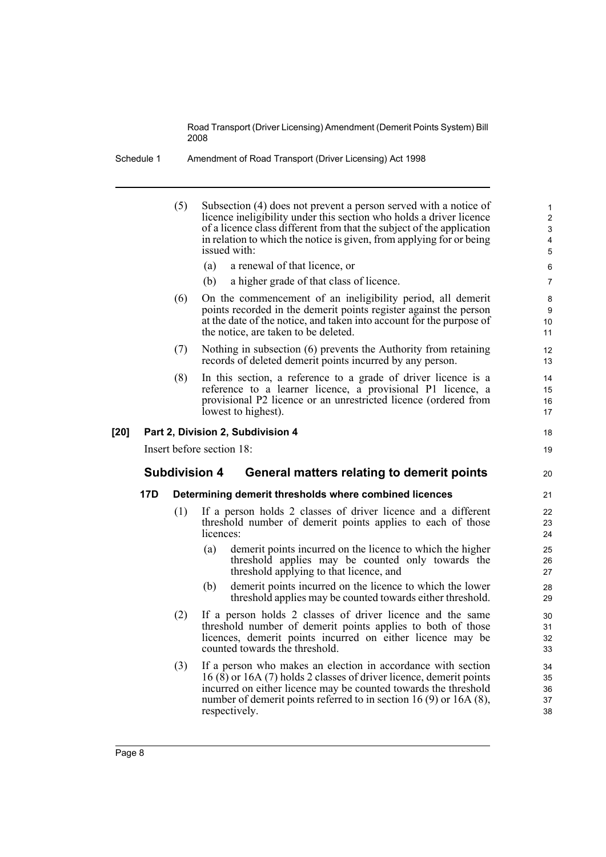Schedule 1 Amendment of Road Transport (Driver Licensing) Act 1998

|     | (5)<br>Subsection (4) does not prevent a person served with a notice of<br>licence ineligibility under this section who holds a driver licence<br>of a licence class different from that the subject of the application<br>in relation to which the notice is given, from applying for or being<br>issued with: |           |                                                                                                                                                                                                                                                  |                      |  |
|-----|-----------------------------------------------------------------------------------------------------------------------------------------------------------------------------------------------------------------------------------------------------------------------------------------------------------------|-----------|--------------------------------------------------------------------------------------------------------------------------------------------------------------------------------------------------------------------------------------------------|----------------------|--|
|     |                                                                                                                                                                                                                                                                                                                 | (a)       | a renewal of that licence, or                                                                                                                                                                                                                    | 6                    |  |
|     |                                                                                                                                                                                                                                                                                                                 | (b)       | a higher grade of that class of licence.                                                                                                                                                                                                         | 7                    |  |
|     | (6)                                                                                                                                                                                                                                                                                                             |           | On the commencement of an ineligibility period, all demerit<br>points recorded in the demerit points register against the person<br>at the date of the notice, and taken into account for the purpose of<br>the notice, are taken to be deleted. | 8<br>9<br>10<br>11   |  |
|     | (7)                                                                                                                                                                                                                                                                                                             |           | Nothing in subsection (6) prevents the Authority from retaining<br>records of deleted demerit points incurred by any person.                                                                                                                     | 12<br>13             |  |
|     | (8)                                                                                                                                                                                                                                                                                                             |           | In this section, a reference to a grade of driver licence is a<br>reference to a learner licence, a provisional P1 licence, a<br>provisional P2 licence or an unrestricted licence (ordered from<br>lowest to highest).                          | 14<br>15<br>16<br>17 |  |
|     |                                                                                                                                                                                                                                                                                                                 |           | Part 2, Division 2, Subdivision 4                                                                                                                                                                                                                | 18                   |  |
|     |                                                                                                                                                                                                                                                                                                                 |           |                                                                                                                                                                                                                                                  |                      |  |
|     | Insert before section 18:                                                                                                                                                                                                                                                                                       |           |                                                                                                                                                                                                                                                  | 19                   |  |
|     | <b>Subdivision 4</b>                                                                                                                                                                                                                                                                                            |           | General matters relating to demerit points                                                                                                                                                                                                       | 20                   |  |
| 17D |                                                                                                                                                                                                                                                                                                                 |           | Determining demerit thresholds where combined licences                                                                                                                                                                                           | 21                   |  |
|     | (1)                                                                                                                                                                                                                                                                                                             | licences: | If a person holds 2 classes of driver licence and a different<br>threshold number of demerit points applies to each of those                                                                                                                     | 22<br>23<br>24       |  |
|     |                                                                                                                                                                                                                                                                                                                 | (a)       | demerit points incurred on the licence to which the higher<br>threshold applies may be counted only towards the<br>threshold applying to that licence, and                                                                                       | 25<br>26<br>27       |  |
|     |                                                                                                                                                                                                                                                                                                                 | (b)       | demerit points incurred on the licence to which the lower<br>threshold applies may be counted towards either threshold.                                                                                                                          | 28<br>29             |  |
|     | (2)                                                                                                                                                                                                                                                                                                             |           | If a person holds 2 classes of driver licence and the same<br>threshold number of demerit points applies to both of those<br>licences, demerit points incurred on either licence may be<br>counted towards the threshold.                        | 30<br>31<br>32<br>33 |  |

[20]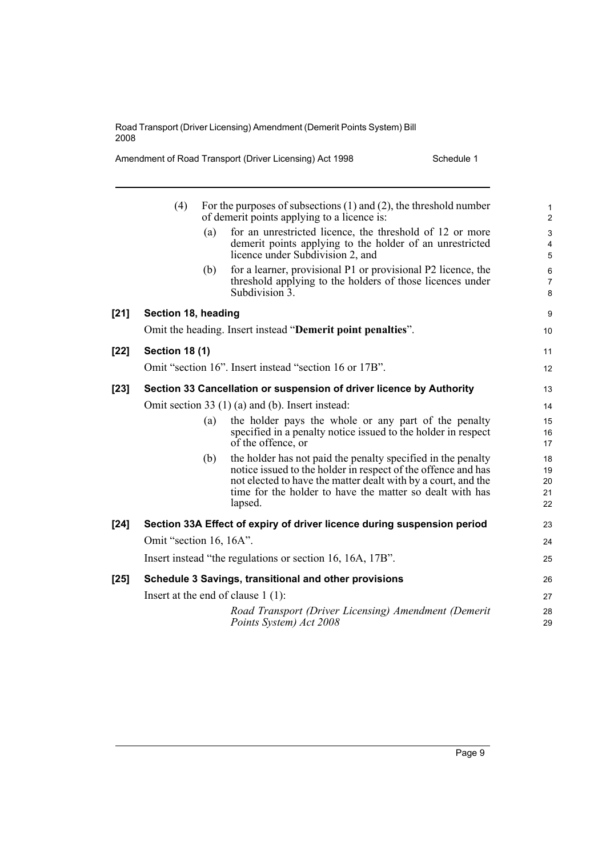Amendment of Road Transport (Driver Licensing) Act 1998 Schedule 1

|      | (4)                     |     | For the purposes of subsections $(1)$ and $(2)$ , the threshold number<br>of demerit points applying to a licence is:                                                                                                                                                 | $\mathbf{1}$<br>$\mathbf{2}$   |
|------|-------------------------|-----|-----------------------------------------------------------------------------------------------------------------------------------------------------------------------------------------------------------------------------------------------------------------------|--------------------------------|
|      |                         | (a) | for an unrestricted licence, the threshold of 12 or more<br>demerit points applying to the holder of an unrestricted<br>licence under Subdivision 2, and                                                                                                              | 3<br>$\overline{4}$<br>5       |
|      |                         | (b) | for a learner, provisional P1 or provisional P2 licence, the<br>threshold applying to the holders of those licences under<br>Subdivision 3.                                                                                                                           | $\,6\,$<br>$\overline{7}$<br>8 |
| [21] | Section 18, heading     |     |                                                                                                                                                                                                                                                                       | 9                              |
|      |                         |     | Omit the heading. Insert instead "Demerit point penalties".                                                                                                                                                                                                           | 10                             |
| [22] | <b>Section 18 (1)</b>   |     |                                                                                                                                                                                                                                                                       | 11                             |
|      |                         |     | Omit "section 16". Insert instead "section 16 or 17B".                                                                                                                                                                                                                | 12                             |
| [23] |                         |     | Section 33 Cancellation or suspension of driver licence by Authority                                                                                                                                                                                                  | 13                             |
|      |                         |     | Omit section 33 $(1)$ (a) and (b). Insert instead:                                                                                                                                                                                                                    | 14                             |
|      |                         | (a) | the holder pays the whole or any part of the penalty<br>specified in a penalty notice issued to the holder in respect<br>of the offence, or                                                                                                                           | 15<br>16<br>17                 |
|      |                         | (b) | the holder has not paid the penalty specified in the penalty<br>notice issued to the holder in respect of the offence and has<br>not elected to have the matter dealt with by a court, and the<br>time for the holder to have the matter so dealt with has<br>lapsed. | 18<br>19<br>20<br>21<br>22     |
| [24] |                         |     | Section 33A Effect of expiry of driver licence during suspension period                                                                                                                                                                                               | 23                             |
|      | Omit "section 16, 16A". |     |                                                                                                                                                                                                                                                                       | 24                             |
|      |                         |     | Insert instead "the regulations or section 16, 16A, 17B".                                                                                                                                                                                                             | 25                             |
| [25] |                         |     | Schedule 3 Savings, transitional and other provisions                                                                                                                                                                                                                 | 26                             |
|      |                         |     | Insert at the end of clause $1(1)$ :                                                                                                                                                                                                                                  | 27                             |
|      |                         |     | Road Transport (Driver Licensing) Amendment (Demerit<br>Points System) Act 2008                                                                                                                                                                                       | 28<br>29                       |
|      |                         |     |                                                                                                                                                                                                                                                                       |                                |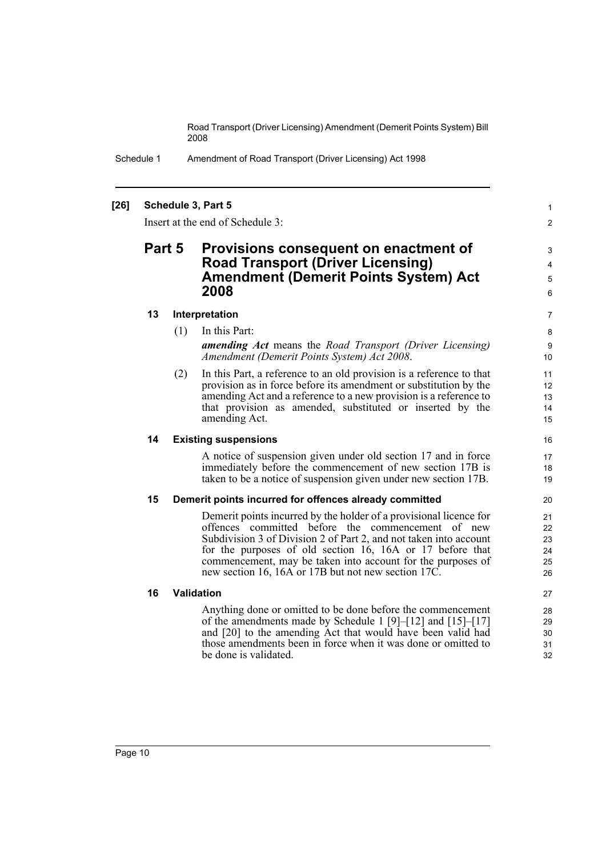> 1 2

Schedule 1 Amendment of Road Transport (Driver Licensing) Act 1998

#### **[26] Schedule 3, Part 5**

Insert at the end of Schedule 3:

### **Part 5 Provisions consequent on enactment of Road Transport (Driver Licensing) Amendment (Demerit Points System) Act 2008**

#### **13 Interpretation**

- (1) In this Part: *amending Act* means the *Road Transport (Driver Licensing) Amendment (Demerit Points System) Act 2008*.
- (2) In this Part, a reference to an old provision is a reference to that provision as in force before its amendment or substitution by the amending Act and a reference to a new provision is a reference to that provision as amended, substituted or inserted by the amending Act.

#### **14 Existing suspensions**

A notice of suspension given under old section 17 and in force immediately before the commencement of new section 17B is taken to be a notice of suspension given under new section 17B.

#### **15 Demerit points incurred for offences already committed**

Demerit points incurred by the holder of a provisional licence for offences committed before the commencement of new Subdivision 3 of Division 2 of Part 2, and not taken into account for the purposes of old section 16, 16A or 17 before that commencement, may be taken into account for the purposes of new section 16, 16A or 17B but not new section 17C.

#### **16 Validation**

Anything done or omitted to be done before the commencement of the amendments made by Schedule 1 [9]–[12] and [15]–[17] and [20] to the amending Act that would have been valid had those amendments been in force when it was done or omitted to be done is validated.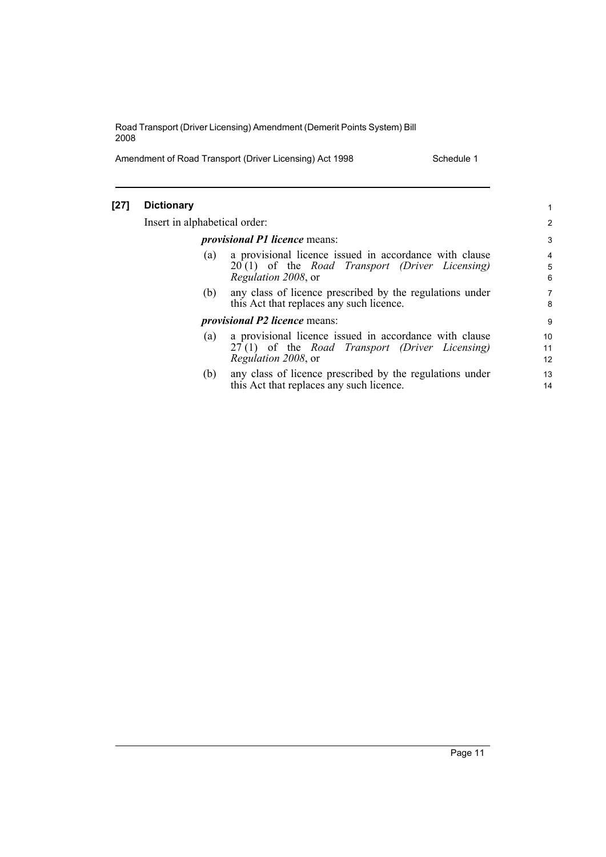Amendment of Road Transport (Driver Licensing) Act 1998 Schedule 1

[27]

| <b>Dictionary</b>             |                                                                                                                                                | 1                        |
|-------------------------------|------------------------------------------------------------------------------------------------------------------------------------------------|--------------------------|
| Insert in alphabetical order: |                                                                                                                                                | $\overline{2}$           |
|                               | <i>provisional P1 licence means:</i>                                                                                                           | 3                        |
| (a)                           | a provisional licence issued in accordance with clause<br>20(1) of the <i>Road Transport (Driver Licensing)</i><br><i>Regulation 2008</i> , or | $\overline{4}$<br>5<br>6 |
| (b)                           | any class of licence prescribed by the regulations under<br>this Act that replaces any such licence.                                           | $\overline{7}$<br>8      |
|                               | <i>provisional P2 licence</i> means:                                                                                                           | 9                        |
| (a)                           | a provisional licence issued in accordance with clause<br>27(1) of the <i>Road Transport (Driver Licensing)</i><br><i>Regulation 2008</i> , or | 10<br>11<br>12           |
| (b)                           | any class of licence prescribed by the regulations under<br>this Act that replaces any such licence.                                           | 13<br>14                 |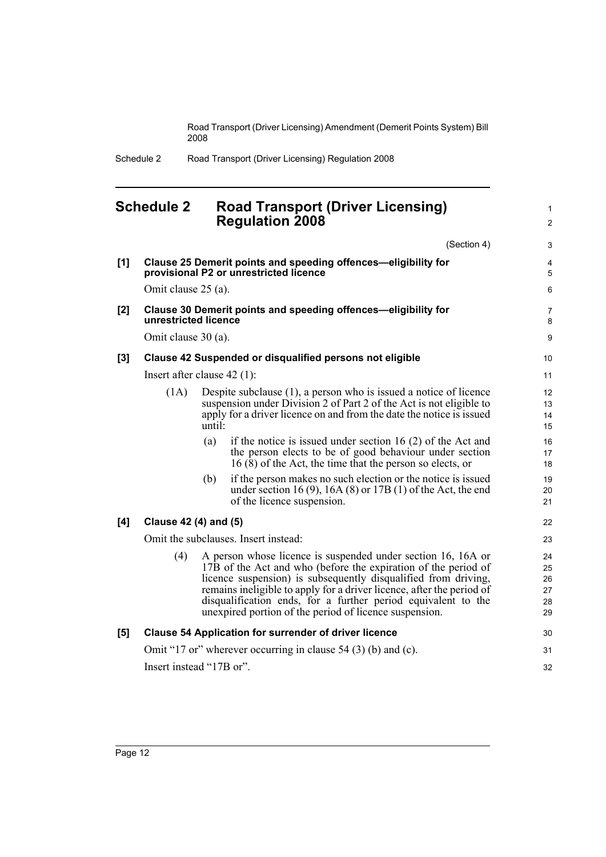1

Schedule 2 Road Transport (Driver Licensing) Regulation 2008

## <span id="page-19-0"></span>**Schedule 2 Road Transport (Driver Licensing) Regulation 2008**

(Section 4) **[1] Clause 25 Demerit points and speeding offences—eligibility for provisional P2 or unrestricted licence** Omit clause 25 (a). **[2] Clause 30 Demerit points and speeding offences—eligibility for unrestricted licence** Omit clause 30 (a). **[3] Clause 42 Suspended or disqualified persons not eligible** Insert after clause 42 (1): (1A) Despite subclause (1), a person who is issued a notice of licence suspension under Division 2 of Part 2 of the Act is not eligible to apply for a driver licence on and from the date the notice is issued until: (a) if the notice is issued under section 16 (2) of the Act and the person elects to be of good behaviour under section  $16(8)$  of the Act, the time that the person so elects, or (b) if the person makes no such election or the notice is issued under section 16 (9), 16A (8) or 17B (1) of the Act, the end of the licence suspension. **[4] Clause 42 (4) and (5)** Omit the subclauses. Insert instead: (4) A person whose licence is suspended under section 16, 16A or 17B of the Act and who (before the expiration of the period of licence suspension) is subsequently disqualified from driving, remains ineligible to apply for a driver licence, after the period of disqualification ends, for a further period equivalent to the unexpired portion of the period of licence suspension. **[5] Clause 54 Application for surrender of driver licence** Omit "17 or" wherever occurring in clause 54 (3) (b) and (c). Insert instead "17B or".  $\mathfrak{p}$ 3 4 5 6 7 8 9 10 11 12 13 14 15 16 17 18 19 20 21 22 23  $24$ 25 26 27 28 29 30 31 32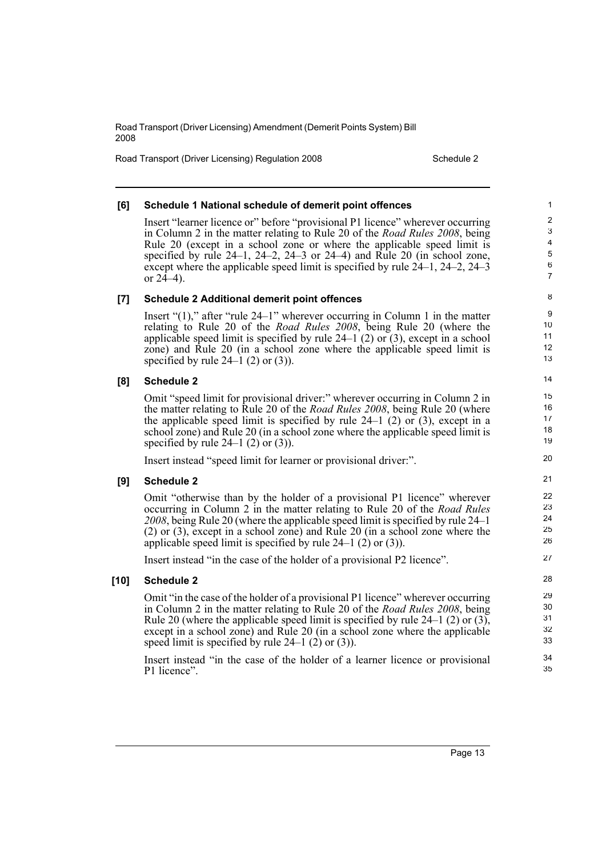Road Transport (Driver Licensing) Regulation 2008 Schedule 2

#### **[6] Schedule 1 National schedule of demerit point offences**

Insert "learner licence or" before "provisional P1 licence" wherever occurring in Column 2 in the matter relating to Rule 20 of the *Road Rules 2008*, being Rule 20 (except in a school zone or where the applicable speed limit is specified by rule  $24-1$ ,  $24-2$ ,  $24-3$  or  $24-4$ ) and Rule  $20$  (in school zone, except where the applicable speed limit is specified by rule 24–1, 24–2, 24–3 or  $24-4$ ).

#### **[7] Schedule 2 Additional demerit point offences**

Insert "(1)," after "rule 24–1" wherever occurring in Column 1 in the matter relating to Rule 20 of the *Road Rules 2008*, being Rule 20 (where the applicable speed limit is specified by rule  $24-1$  (2) or (3), except in a school zone) and Rule 20 (in a school zone where the applicable speed limit is specified by rule  $24-1$  (2) or (3)).

#### **[8] Schedule 2**

Omit "speed limit for provisional driver:" wherever occurring in Column 2 in the matter relating to Rule 20 of the *Road Rules 2008*, being Rule 20 (where the applicable speed limit is specified by rule  $24-1$  (2) or (3), except in a school zone) and Rule 20 (in a school zone where the applicable speed limit is specified by rule  $24-1$  (2) or (3)).

Insert instead "speed limit for learner or provisional driver:".

#### **[9] Schedule 2**

Omit "otherwise than by the holder of a provisional P1 licence" wherever occurring in Column 2 in the matter relating to Rule 20 of the *Road Rules 2008*, being Rule 20 (where the applicable speed limit is specified by rule 24–1 (2) or (3), except in a school zone) and Rule 20 (in a school zone where the applicable speed limit is specified by rule  $24-1$  (2) or (3)).

Insert instead "in the case of the holder of a provisional P2 licence".

#### **[10] Schedule 2**

Omit "in the case of the holder of a provisional P1 licence" wherever occurring in Column 2 in the matter relating to Rule 20 of the *Road Rules 2008*, being Rule 20 (where the applicable speed limit is specified by rule 24–1 (2) or (3), except in a school zone) and Rule 20 (in a school zone where the applicable speed limit is specified by rule  $24-1$  (2) or (3)).

Insert instead "in the case of the holder of a learner licence or provisional P1 licence".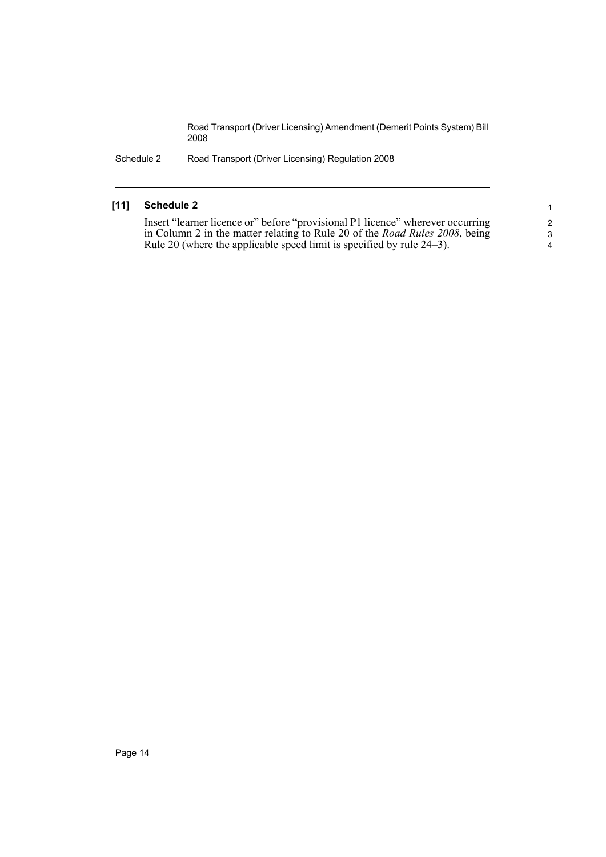Schedule 2 Road Transport (Driver Licensing) Regulation 2008

#### **[11] Schedule 2**

Insert "learner licence or" before "provisional P1 licence" wherever occurring in Column 2 in the matter relating to Rule 20 of the *Road Rules 2008*, being Rule 20 (where the applicable speed limit is specified by rule 24–3).